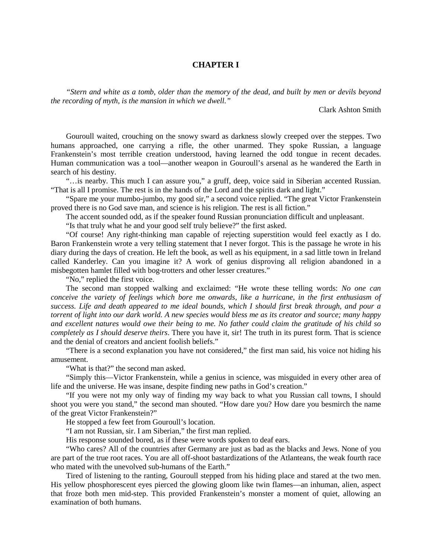## **CHAPTER I**

*"Stern and white as a tomb, older than the memory of the dead, and built by men or devils beyond the recording of myth, is the mansion in which we dwell."* 

Clark Ashton Smith

Gouroull waited, crouching on the snowy sward as darkness slowly creeped over the steppes. Two humans approached, one carrying a rifle, the other unarmed. They spoke Russian, a language Frankenstein's most terrible creation understood, having learned the odd tongue in recent decades. Human communication was a tool—another weapon in Gouroull's arsenal as he wandered the Earth in search of his destiny.

"…is nearby. This much I can assure you," a gruff, deep, voice said in Siberian accented Russian. "That is all I promise. The rest is in the hands of the Lord and the spirits dark and light."

"Spare me your mumbo-jumbo, my good sir," a second voice replied. "The great Victor Frankenstein proved there is no God save man, and science is his religion. The rest is all fiction."

The accent sounded odd, as if the speaker found Russian pronunciation difficult and unpleasant.

"Is that truly what he and your good self truly believe?" the first asked.

"Of course! Any right-thinking man capable of rejecting superstition would feel exactly as I do. Baron Frankenstein wrote a very telling statement that I never forgot. This is the passage he wrote in his diary during the days of creation. He left the book, as well as his equipment, in a sad little town in Ireland called Kanderley. Can you imagine it? A work of genius disproving all religion abandoned in a misbegotten hamlet filled with bog-trotters and other lesser creatures."

"No," replied the first voice.

The second man stopped walking and exclaimed: "He wrote these telling words: *No one can conceive the variety of feelings which bore me onwards, like a hurricane, in the first enthusiasm of success. Life and death appeared to me ideal bounds, which I should first break through, and pour a torrent of light into our dark world. A new species would bless me as its creator and source; many happy and excellent natures would owe their being to me. No father could claim the gratitude of his child so completely as I should deserve theirs*. There you have it, sir! The truth in its purest form. That is science and the denial of creators and ancient foolish beliefs."

"There is a second explanation you have not considered," the first man said, his voice not hiding his amusement.

"What is that?" the second man asked.

"Simply this—Victor Frankenstein, while a genius in science, was misguided in every other area of life and the universe. He was insane, despite finding new paths in God's creation."

"If you were not my only way of finding my way back to what you Russian call towns, I should shoot you were you stand," the second man shouted. "How dare you? How dare you besmirch the name of the great Victor Frankenstein?"

He stopped a few feet from Gouroull's location.

"I am not Russian, sir. I am Siberian," the first man replied.

His response sounded bored, as if these were words spoken to deaf ears.

"Who cares? All of the countries after Germany are just as bad as the blacks and Jews. None of you are part of the true root races. You are all off-shoot bastardizations of the Atlanteans, the weak fourth race who mated with the unevolved sub-humans of the Earth."

Tired of listening to the ranting, Gouroull stepped from his hiding place and stared at the two men. His yellow phosphorescent eyes pierced the glowing gloom like twin flames—an inhuman, alien, aspect that froze both men mid-step. This provided Frankenstein's monster a moment of quiet, allowing an examination of both humans.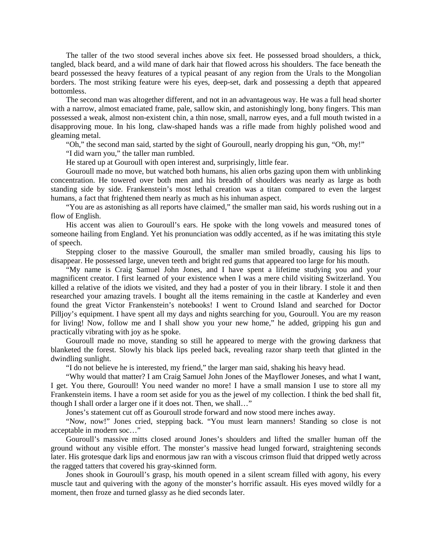The taller of the two stood several inches above six feet. He possessed broad shoulders, a thick, tangled, black beard, and a wild mane of dark hair that flowed across his shoulders. The face beneath the beard possessed the heavy features of a typical peasant of any region from the Urals to the Mongolian borders. The most striking feature were his eyes, deep-set, dark and possessing a depth that appeared bottomless.

The second man was altogether different, and not in an advantageous way. He was a full head shorter with a narrow, almost emaciated frame, pale, sallow skin, and astonishingly long, bony fingers. This man possessed a weak, almost non-existent chin, a thin nose, small, narrow eyes, and a full mouth twisted in a disapproving moue. In his long, claw-shaped hands was a rifle made from highly polished wood and gleaming metal.

"Oh," the second man said, started by the sight of Gouroull, nearly dropping his gun, "Oh, my!"

"I did warn you," the taller man rumbled.

He stared up at Gouroull with open interest and, surprisingly, little fear.

Gouroull made no move, but watched both humans, his alien orbs gazing upon them with unblinking concentration. He towered over both men and his breadth of shoulders was nearly as large as both standing side by side. Frankenstein's most lethal creation was a titan compared to even the largest humans, a fact that frightened them nearly as much as his inhuman aspect.

"You are as astonishing as all reports have claimed," the smaller man said, his words rushing out in a flow of English.

His accent was alien to Gouroull's ears. He spoke with the long vowels and measured tones of someone hailing from England. Yet his pronunciation was oddly accented, as if he was imitating this style of speech.

Stepping closer to the massive Gouroull, the smaller man smiled broadly, causing his lips to disappear. He possessed large, uneven teeth and bright red gums that appeared too large for his mouth.

"My name is Craig Samuel John Jones, and I have spent a lifetime studying you and your magnificent creator. I first learned of your existence when I was a mere child visiting Switzerland. You killed a relative of the idiots we visited, and they had a poster of you in their library. I stole it and then researched your amazing travels. I bought all the items remaining in the castle at Kanderley and even found the great Victor Frankenstein's notebooks! I went to Cround Island and searched for Doctor Pilljoy's equipment. I have spent all my days and nights searching for you, Gouroull. You are my reason for living! Now, follow me and I shall show you your new home," he added, gripping his gun and practically vibrating with joy as he spoke.

Gouroull made no move, standing so still he appeared to merge with the growing darkness that blanketed the forest. Slowly his black lips peeled back, revealing razor sharp teeth that glinted in the dwindling sunlight.

"I do not believe he is interested, my friend," the larger man said, shaking his heavy head.

"Why would that matter? I am Craig Samuel John Jones of the Mayflower Joneses, and what I want, I get. You there, Gouroull! You need wander no more! I have a small mansion I use to store all my Frankenstein items. I have a room set aside for you as the jewel of my collection. I think the bed shall fit, though I shall order a larger one if it does not. Then, we shall…"

Jones's statement cut off as Gouroull strode forward and now stood mere inches away.

"Now, now!" Jones cried, stepping back. "You must learn manners! Standing so close is not acceptable in modern soc…"

Gouroull's massive mitts closed around Jones's shoulders and lifted the smaller human off the ground without any visible effort. The monster's massive head lunged forward, straightening seconds later. His grotesque dark lips and enormous jaw ran with a viscous crimson fluid that dripped wetly across the ragged tatters that covered his gray-skinned form.

Jones shook in Gouroull's grasp, his mouth opened in a silent scream filled with agony, his every muscle taut and quivering with the agony of the monster's horrific assault. His eyes moved wildly for a moment, then froze and turned glassy as he died seconds later.